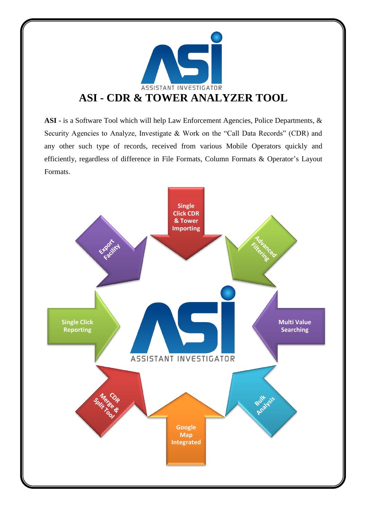

**ASI -** is a Software Tool which will help Law Enforcement Agencies, Police Departments, & Security Agencies to Analyze, Investigate & Work on the "Call Data Records" (CDR) and any other such type of records, received from various Mobile Operators quickly and efficiently, regardless of difference in File Formats, Column Formats & Operator's Layout Formats.